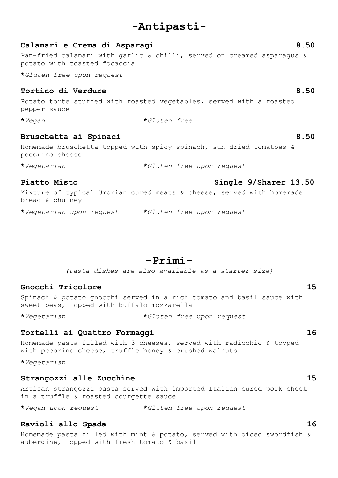# **-Antipasti-**

# **Calamari e Crema di Asparagi 8.50** Pan-fried calamari with garlic & chilli, served on creamed asparagus & potato with toasted focaccia

**\****Gluten free upon request*

## **Tortino di Verdure 8.50**

Potato torte stuffed with roasted vegetables, served with a roasted pepper sauce

**\****Vegan* **\****Gluten free*

### **Bruschetta ai Spinaci 8.50**

Homemade bruschetta topped with spicy spinach, sun-dried tomatoes & pecorino cheese

**\****Vegetarian* **\****Gluten free upon request*

Mixture of typical Umbrian cured meats & cheese, served with homemade bread & chutney

**\****Vegetarian upon request* **\****Gluten free upon request*

**-Primi-**

*(Pasta dishes are also available as a starter size)*

## **Gnocchi Tricolore 15**

Spinach & potato gnocchi served in a rich tomato and basil sauce with sweet peas, topped with buffalo mozzarella

**\****Vegetarian* **\****Gluten free upon request*

## **Tortelli ai Quattro Formaggi 16**

Homemade pasta filled with 3 cheeses, served with radicchio & topped with pecorino cheese, truffle honey & crushed walnuts

**\****Vegetarian*

### **Strangozzi alle Zucchine 15**

Artisan strangozzi pasta served with imported Italian cured pork cheek in a truffle & roasted courgette sauce

**\****Vegan upon request* **\****Gluten free upon request*

## **Ravioli allo Spada 16**

Homemade pasta filled with mint & potato, served with diced swordfish & aubergine, topped with fresh tomato & basil

# **Piatto Misto Single 9/Sharer 13.50**